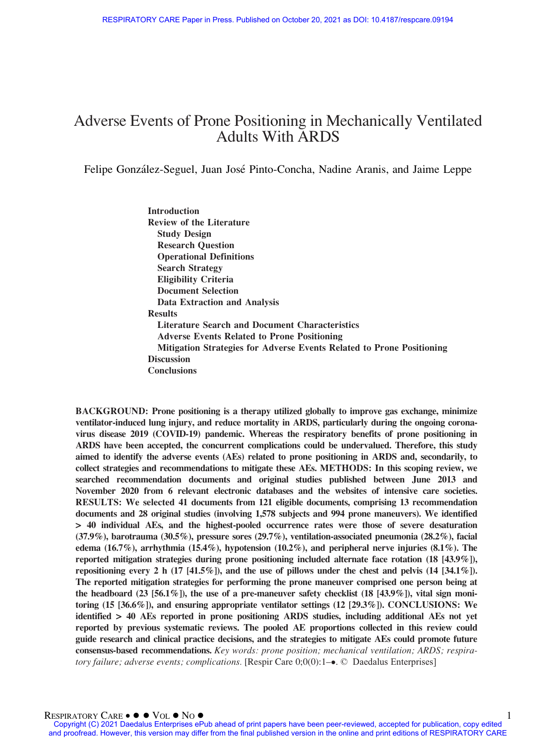# Adverse Events of Prone Positioning in Mechanically Ventilated Adults With ARDS

Felipe González-Seguel, Juan José Pinto-Concha, Nadine Aranis, and Jaime Leppe

Introduction Review of the Literature Study Design Research Question Operational Definitions Search Strategy Eligibility Criteria Document Selection Data Extraction and Analysis Results Literature Search and Document Characteristics Adverse Events Related to Prone Positioning Mitigation Strategies for Adverse Events Related to Prone Positioning **Discussion Conclusions** 

BACKGROUND: Prone positioning is a therapy utilized globally to improve gas exchange, minimize ventilator-induced lung injury, and reduce mortality in ARDS, particularly during the ongoing coronavirus disease 2019 (COVID-19) pandemic. Whereas the respiratory benefits of prone positioning in ARDS have been accepted, the concurrent complications could be undervalued. Therefore, this study aimed to identify the adverse events (AEs) related to prone positioning in ARDS and, secondarily, to collect strategies and recommendations to mitigate these AEs. METHODS: In this scoping review, we searched recommendation documents and original studies published between June 2013 and November 2020 from 6 relevant electronic databases and the websites of intensive care societies. RESULTS: We selected 41 documents from 121 eligible documents, comprising 13 recommendation documents and 28 original studies (involving 1,578 subjects and 994 prone maneuvers). We identified > 40 individual AEs, and the highest-pooled occurrence rates were those of severe desaturation (37.9%), barotrauma (30.5%), pressure sores (29.7%), ventilation-associated pneumonia (28.2%), facial edema (16.7%), arrhythmia (15.4%), hypotension (10.2%), and peripheral nerve injuries  $(8.1\%)$ . The reported mitigation strategies during prone positioning included alternate face rotation (18 [43.9%]), repositioning every 2 h (17 [41.5%]), and the use of pillows under the chest and pelvis  $(14 [34.1\%])$ . The reported mitigation strategies for performing the prone maneuver comprised one person being at the headboard (23 [56.1%]), the use of a pre-maneuver safety checklist (18 [43.9%]), vital sign monitoring (15 [36.6%]), and ensuring appropriate ventilator settings (12 [29.3%]). CONCLUSIONS: We identified > 40 AEs reported in prone positioning ARDS studies, including additional AEs not yet reported by previous systematic reviews. The pooled AE proportions collected in this review could guide research and clinical practice decisions, and the strategies to mitigate AEs could promote future consensus-based recommendations. Key words: prone position; mechanical ventilation; ARDS; respiratory failure; adverse events; complications. [Respir Care  $0;0(0)$ :1–•. © Daedalus Enterprises]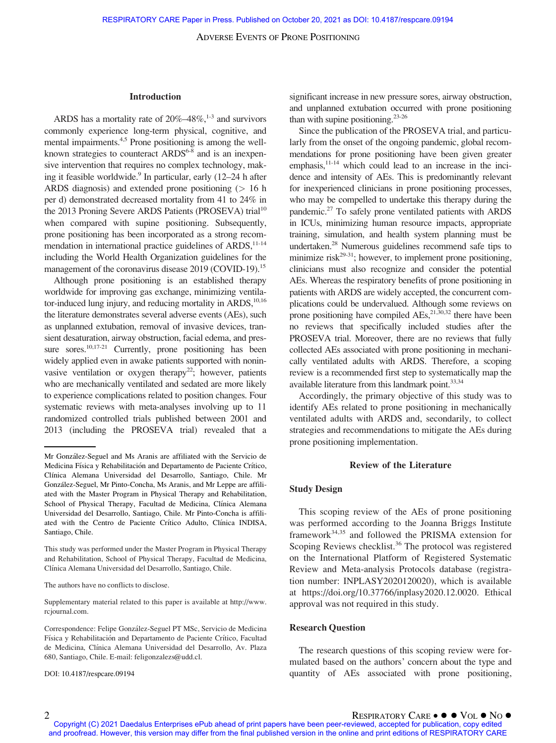#### Introduction

ARDS has a mortality rate of  $20\% - 48\%$ ,  $1\frac{1}{3}$  and survivors commonly experience long-term physical, cognitive, and mental impairments.<sup>4,5</sup> Prone positioning is among the wellknown strategies to counteract ARDS<sup>6-8</sup> and is an inexpensive intervention that requires no complex technology, making it feasible worldwide.<sup>9</sup> In particular, early  $(12-24$  h after ARDS diagnosis) and extended prone positioning  $(> 16$  h per d) demonstrated decreased mortality from 41 to 24% in the 2013 Proning Severe ARDS Patients (PROSEVA) trial<sup>10</sup> when compared with supine positioning. Subsequently, prone positioning has been incorporated as a strong recommendation in international practice guidelines of  $ARDS$ ,  $^{11-14}$ including the World Health Organization guidelines for the management of the coronavirus disease 2019 (COVID-19).<sup>15</sup>

Although prone positioning is an established therapy worldwide for improving gas exchange, minimizing ventilator-induced lung injury, and reducing mortality in ARDS,  $10,16$ the literature demonstrates several adverse events (AEs), such as unplanned extubation, removal of invasive devices, transient desaturation, airway obstruction, facial edema, and pressure sores.<sup>10,17-21</sup> Currently, prone positioning has been widely applied even in awake patients supported with noninvasive ventilation or oxygen therapy<sup>22</sup>; however, patients who are mechanically ventilated and sedated are more likely to experience complications related to position changes. Four systematic reviews with meta-analyses involving up to 11 randomized controlled trials published between 2001 and 2013 (including the PROSEVA trial) revealed that a

The authors have no conflicts to disclose.

Supplementary material related to this paper is available at [http://www.](http://www.rcjournal.com) [rcjournal.com](http://www.rcjournal.com).

DOI: 10.4187/respcare.09194

significant increase in new pressure sores, airway obstruction, and unplanned extubation occurred with prone positioning than with supine positioning. $23-26$ 

Since the publication of the PROSEVA trial, and particularly from the onset of the ongoing pandemic, global recommendations for prone positioning have been given greater emphasis, $11-14$  which could lead to an increase in the incidence and intensity of AEs. This is predominantly relevant for inexperienced clinicians in prone positioning processes, who may be compelled to undertake this therapy during the pandemic.27 To safely prone ventilated patients with ARDS in ICUs, minimizing human resource impacts, appropriate training, simulation, and health system planning must be undertaken.28 Numerous guidelines recommend safe tips to minimize risk<sup>29-31</sup>; however, to implement prone positioning, clinicians must also recognize and consider the potential AEs. Whereas the respiratory benefits of prone positioning in patients with ARDS are widely accepted, the concurrent complications could be undervalued. Although some reviews on prone positioning have compiled  $AEs$ ,<sup>21,30,32</sup> there have been no reviews that specifically included studies after the PROSEVA trial. Moreover, there are no reviews that fully collected AEs associated with prone positioning in mechanically ventilated adults with ARDS. Therefore, a scoping review is a recommended first step to systematically map the available literature from this landmark point.<sup>33,34</sup>

Accordingly, the primary objective of this study was to identify AEs related to prone positioning in mechanically ventilated adults with ARDS and, secondarily, to collect strategies and recommendations to mitigate the AEs during prone positioning implementation.

#### Review of the Literature

#### Study Design

This scoping review of the AEs of prone positioning was performed according to the Joanna Briggs Institute framework<sup>34,35</sup> and followed the PRISMA extension for Scoping Reviews checklist.<sup>36</sup> The protocol was registered on the International Platform of Registered Systematic Review and Meta-analysis Protocols database (registration number: INPLASY2020120020), which is available at [https://doi.org/10.37766/inplasy2020.12.0020.](https://doi.org/10.37766/inplasy2020.12.0020) Ethical approval was not required in this study.

#### Research Question

The research questions of this scoping review were formulated based on the authors' concern about the type and quantity of AEs associated with prone positioning,

Mr González-Seguel and Ms Aranis are affiliated with the Servicio de Medicina Física y Rehabilitación and Departamento de Paciente Crítico, Clínica Alemana Universidad del Desarrollo, Santiago, Chile. Mr González-Seguel, Mr Pinto-Concha, Ms Aranis, and Mr Leppe are affiliated with the Master Program in Physical Therapy and Rehabilitation, School of Physical Therapy, Facultad de Medicina, Clínica Alemana Universidad del Desarrollo, Santiago, Chile. Mr Pinto-Concha is affiliated with the Centro de Paciente Crítico Adulto, Clínica INDISA, Santiago, Chile.

This study was performed under the Master Program in Physical Therapy and Rehabilitation, School of Physical Therapy, Facultad de Medicina, Clínica Alemana Universidad del Desarrollo, Santiago, Chile.

Correspondence: Felipe González-Seguel PT MSc, Servicio de Medicina Física y Rehabilitación and Departamento de Paciente Crítico, Facultad de Medicina, Clínica Alemana Universidad del Desarrollo, Av. Plaza 680, Santiago, Chile. E-mail: [feligonzalezs@udd.cl.](mailto:feligonzalezs@udd.cl)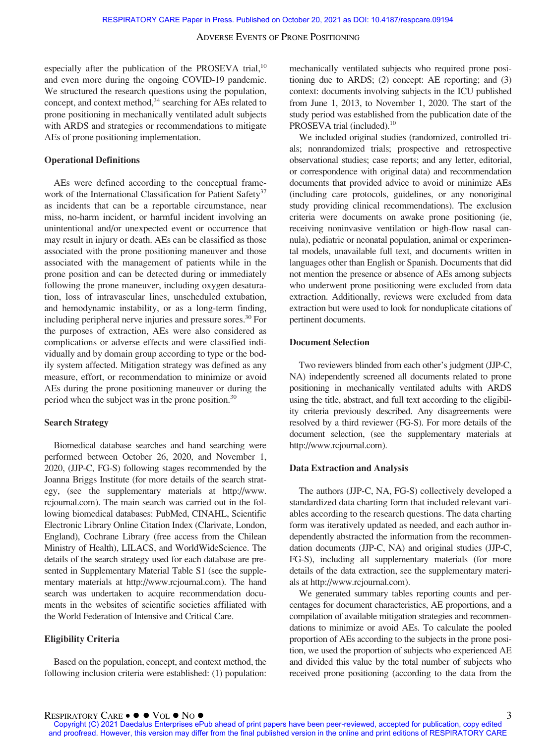especially after the publication of the PROSEVA trial, $^{10}$ and even more during the ongoing COVID-19 pandemic. We structured the research questions using the population. concept, and context method, $34$  searching for AEs related to prone positioning in mechanically ventilated adult subjects with ARDS and strategies or recommendations to mitigate AEs of prone positioning implementation.

#### Operational Definitions

AEs were defined according to the conceptual framework of the International Classification for Patient Safety<sup>37</sup> as incidents that can be a reportable circumstance, near miss, no-harm incident, or harmful incident involving an unintentional and/or unexpected event or occurrence that may result in injury or death. AEs can be classified as those associated with the prone positioning maneuver and those associated with the management of patients while in the prone position and can be detected during or immediately following the prone maneuver, including oxygen desaturation, loss of intravascular lines, unscheduled extubation, and hemodynamic instability, or as a long-term finding, including peripheral nerve injuries and pressure sores.<sup>30</sup> For the purposes of extraction, AEs were also considered as complications or adverse effects and were classified individually and by domain group according to type or the bodily system affected. Mitigation strategy was defined as any measure, effort, or recommendation to minimize or avoid AEs during the prone positioning maneuver or during the period when the subject was in the prone position.<sup>30</sup>

# Search Strategy

Biomedical database searches and hand searching were performed between October 26, 2020, and November 1, 2020, (JJP-C, FG-S) following stages recommended by the Joanna Briggs Institute (for more details of the search strategy, (see the supplementary materials at [http://www.](http://www.rcjournal.com) [rcjournal.com](http://www.rcjournal.com)). The main search was carried out in the following biomedical databases: PubMed, CINAHL, Scientific Electronic Library Online Citation Index (Clarivate, London, England), Cochrane Library (free access from the Chilean Ministry of Health), LILACS, and WorldWideScience. The details of the search strategy used for each database are presented in Supplementary Material Table S1 (see the supplementary materials at [http://www.rcjournal.com\)](http://www.rcjournal.com). The hand search was undertaken to acquire recommendation documents in the websites of scientific societies affiliated with the World Federation of Intensive and Critical Care.

#### Eligibility Criteria

Based on the population, concept, and context method, the following inclusion criteria were established: (1) population: mechanically ventilated subjects who required prone positioning due to ARDS; (2) concept: AE reporting; and (3) context: documents involving subjects in the ICU published from June 1, 2013, to November 1, 2020. The start of the study period was established from the publication date of the PROSEVA trial (included).<sup>10</sup>

We included original studies (randomized, controlled trials; nonrandomized trials; prospective and retrospective observational studies; case reports; and any letter, editorial, or correspondence with original data) and recommendation documents that provided advice to avoid or minimize AEs (including care protocols, guidelines, or any nonoriginal study providing clinical recommendations). The exclusion criteria were documents on awake prone positioning (ie, receiving noninvasive ventilation or high-flow nasal cannula), pediatric or neonatal population, animal or experimental models, unavailable full text, and documents written in languages other than English or Spanish. Documents that did not mention the presence or absence of AEs among subjects who underwent prone positioning were excluded from data extraction. Additionally, reviews were excluded from data extraction but were used to look for nonduplicate citations of pertinent documents.

# Document Selection

Two reviewers blinded from each other's judgment (JJP-C, NA) independently screened all documents related to prone positioning in mechanically ventilated adults with ARDS using the title, abstract, and full text according to the eligibility criteria previously described. Any disagreements were resolved by a third reviewer (FG-S). For more details of the document selection, (see the supplementary materials at <http://www.rcjournal.com>).

## Data Extraction and Analysis

The authors (JJP-C, NA, FG-S) collectively developed a standardized data charting form that included relevant variables according to the research questions. The data charting form was iteratively updated as needed, and each author independently abstracted the information from the recommendation documents (JJP-C, NA) and original studies (JJP-C, FG-S), including all supplementary materials (for more details of the data extraction, see the supplementary materials at<http://www.rcjournal.com>).

We generated summary tables reporting counts and percentages for document characteristics, AE proportions, and a compilation of available mitigation strategies and recommendations to minimize or avoid AEs. To calculate the pooled proportion of AEs according to the subjects in the prone position, we used the proportion of subjects who experienced AE and divided this value by the total number of subjects who received prone positioning (according to the data from the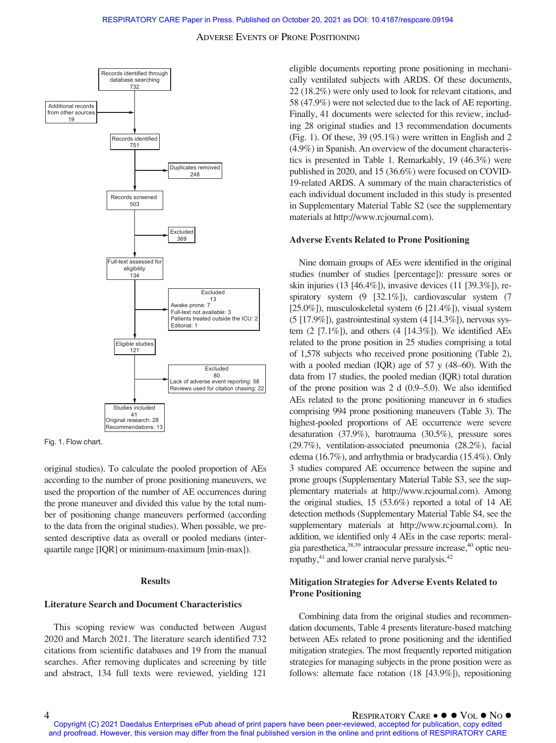



original studies). To calculate the pooled proportion of AEs according to the number of prone positioning maneuvers, we used the proportion of the number of AE occurrences during the prone maneuver and divided this value by the total number of positioning change maneuvers performed (according to the data from the original studies). When possible, we presented descriptive data as overall or pooled medians (interquartile range [IQR] or minimum-maximum [min-max]).

#### Results

# Literature Search and Document Characteristics

This scoping review was conducted between August 2020 and March 2021. The literature search identified 732 citations from scientific databases and 19 from the manual searches. After removing duplicates and screening by title and abstract, 134 full texts were reviewed, yielding 121 eligible documents reporting prone positioning in mechanically ventilated subjects with ARDS. Of these documents, 22 (18.2%) were only used to look for relevant citations, and 58 (47.9%) were not selected due to the lack of AE reporting. Finally, 41 documents were selected for this review, including 28 original studies and 13 recommendation documents (Fig. 1). Of these, 39 (95.1%) were written in English and 2 (4.9%) in Spanish. An overview of the document characteristics is presented in Table 1. Remarkably, 19 (46.3%) were published in 2020, and 15 (36.6%) were focused on COVID-19-related ARDS. A summary of the main characteristics of each individual document included in this study is presented in Supplementary Material Table S2 (see the supplementary materials at [http://www.rcjournal.com\)](http://www.rcjournal.com).

#### Adverse Events Related to Prone Positioning

Nine domain groups of AEs were identified in the original studies (number of studies [percentage]): pressure sores or skin injuries (13 [46.4%]), invasive devices (11 [39.3%]), respiratory system (9 [32.1%]), cardiovascular system (7 [25.0%]), musculoskeletal system (6 [21.4%]), visual system  $(5 [17.9\%])$ , gastrointestinal system  $(4 [14.3\%])$ , nervous system  $(2 \tceil 7.1\%]$ , and others  $(4 \tceil 14.3\%]$ ). We identified AEs related to the prone position in 25 studies comprising a total of 1,578 subjects who received prone positioning (Table 2), with a pooled median (IQR) age of 57 y (48–60). With the data from 17 studies, the pooled median (IQR) total duration of the prone position was 2 d (0.9–5.0). We also identified AEs related to the prone positioning maneuver in 6 studies comprising 994 prone positioning maneuvers (Table 3). The highest-pooled proportions of AE occurrence were severe desaturation (37.9%), barotrauma (30.5%), pressure sores (29.7%), ventilation-associated pneumonia (28.2%), facial edema (16.7%), and arrhythmia or bradycardia (15.4%). Only 3 studies compared AE occurrence between the supine and prone groups (Supplementary Material Table S3, see the supplementary materials at [http://www.rcjournal.com\)](http://www.rcjournal.com). Among the original studies, 15 (53.6%) reported a total of 14 AE detection methods (Supplementary Material Table S4, see the supplementary materials at [http://www.rcjournal.com\)](http://www.rcjournal.com). In addition, we identified only 4 AEs in the case reports: meralgia paresthetica,38,39 intraocular pressure increase,40 optic neuropathy,<sup>41</sup> and lower cranial nerve paralysis.<sup>42</sup>

# Mitigation Strategies for Adverse Events Related to Prone Positioning

Combining data from the original studies and recommendation documents, Table 4 presents literature-based matching between AEs related to prone positioning and the identified mitigation strategies. The most frequently reported mitigation strategies for managing subjects in the prone position were as follows: alternate face rotation (18 [43.9%]), repositioning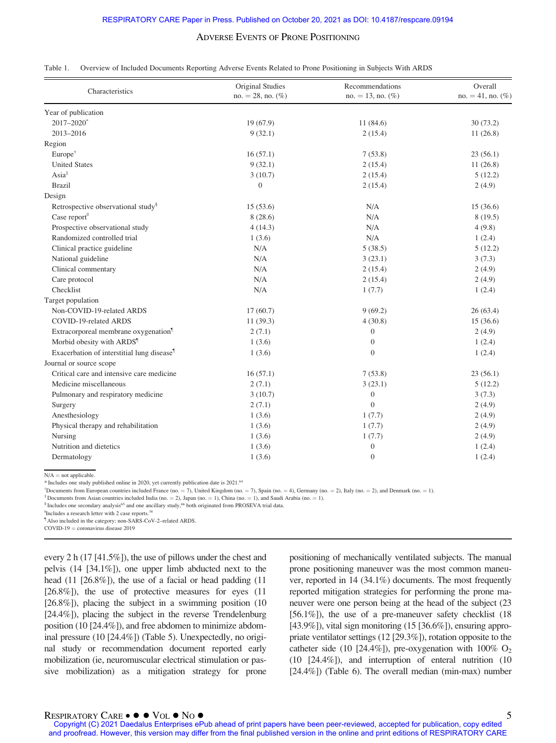| Table 1. Overview of Included Documents Reporting Adverse Events Related to Prone Positioning in Subjects With ARDS |  |  |
|---------------------------------------------------------------------------------------------------------------------|--|--|
|                                                                                                                     |  |  |

| Characteristics                                        | Original Studies        | Recommendations         | Overall             |
|--------------------------------------------------------|-------------------------|-------------------------|---------------------|
|                                                        | $no. = 28$ , no. $(\%)$ | $no. = 13$ , no. $(\%)$ | $no. = 41, no.$ (%) |
| Year of publication                                    |                         |                         |                     |
| $2017 - 2020$ <sup>*</sup>                             | 19(67.9)                | 11(84.6)                | 30(73.2)            |
| 2013-2016                                              | 9(32.1)                 | 2(15.4)                 | 11(26.8)            |
| Region                                                 |                         |                         |                     |
| Europe <sup>†</sup>                                    | 16(57.1)                | 7(53.8)                 | 23(56.1)            |
| <b>United States</b>                                   | 9(32.1)                 | 2(15.4)                 | 11(26.8)            |
| $\text{Asia}^*$                                        | 3(10.7)                 | 2(15.4)                 | 5(12.2)             |
| <b>Brazil</b>                                          | $\overline{0}$          | 2(15.4)                 | 2(4.9)              |
| Design                                                 |                         |                         |                     |
| Retrospective observational study <sup>§</sup>         | 15(53.6)                | N/A                     | 15(36.6)            |
| Case report                                            | 8(28.6)                 | N/A                     | 8(19.5)             |
| Prospective observational study                        | 4(14.3)                 | N/A                     | 4(9.8)              |
| Randomized controlled trial                            | 1(3.6)                  | N/A                     | 1(2.4)              |
| Clinical practice guideline                            | N/A                     | 5(38.5)                 | 5(12.2)             |
| National guideline                                     | N/A                     | 3(23.1)                 | 3(7.3)              |
| Clinical commentary                                    | N/A                     | 2(15.4)                 | 2(4.9)              |
| Care protocol                                          | N/A                     | 2(15.4)                 | 2(4.9)              |
| Checklist                                              | N/A                     | 1(7.7)                  | 1(2.4)              |
| Target population                                      |                         |                         |                     |
| Non-COVID-19-related ARDS                              | 17(60.7)                | 9(69.2)                 | 26(63.4)            |
| COVID-19-related ARDS                                  | 11(39.3)                | 4(30.8)                 | 15(36.6)            |
| Extracorporeal membrane oxygenation <sup>1</sup>       | 2(7.1)                  | $\overline{0}$          | 2(4.9)              |
| Morbid obesity with ARDS <sup>1</sup>                  | 1(3.6)                  | $\theta$                | 1(2.4)              |
| Exacerbation of interstitial lung disease <sup>1</sup> | 1(3.6)                  | $\overline{0}$          | 1(2.4)              |
| Journal or source scope                                |                         |                         |                     |
| Critical care and intensive care medicine              | 16(57.1)                | 7(53.8)                 | 23(56.1)            |
| Medicine miscellaneous                                 | 2(7.1)                  | 3(23.1)                 | 5(12.2)             |
| Pulmonary and respiratory medicine                     | 3(10.7)                 | $\overline{0}$          | 3(7.3)              |
| Surgery                                                | 2(7.1)                  | $\theta$                | 2(4.9)              |
| Anesthesiology                                         | 1(3.6)                  | 1(7.7)                  | 2(4.9)              |
| Physical therapy and rehabilitation                    | 1(3.6)                  | 1(7.7)                  | 2(4.9)              |
| Nursing                                                | 1(3.6)                  | 1(7.7)                  | 2(4.9)              |
| Nutrition and dietetics                                | 1(3.6)                  | $\mathbf{0}$            | 1(2.4)              |
| Dermatology                                            | 1(3.6)                  | $\mathbf{0}$            | 1(2.4)              |

 $N/A$  = not applicable.

\* Includes one study published online in 2020, yet currently publication date is 2021.64

<sup>†</sup>Documents from European countries included France (no. = 7), United Kingdom (no. = 7), Spain (no. = 4), Germany (no. = 2), Italy (no. = 2), and Denmark (no. = 1).<br><sup>‡</sup>Documents from Asian countries included India (no. =

<sup>#</sup>Includes a research letter with 2 case reports.<sup>38</sup>

Also included in the category: non-SARS-CoV-2-related ARDS.

 $COVID-19 =$  coronavirus disease 2019

every 2 h (17 [41.5%]), the use of pillows under the chest and pelvis (14 [34.1%]), one upper limb abducted next to the head (11 [26.8%]), the use of a facial or head padding (11 [26.8%]), the use of protective measures for eyes (11) [26.8%]), placing the subject in a swimming position (10 [24.4%]), placing the subject in the reverse Trendelenburg position (10 [24.4%]), and free abdomen to minimize abdominal pressure (10 [24.4%]) (Table 5). Unexpectedly, no original study or recommendation document reported early mobilization (ie, neuromuscular electrical stimulation or passive mobilization) as a mitigation strategy for prone positioning of mechanically ventilated subjects. The manual prone positioning maneuver was the most common maneuver, reported in 14 (34.1%) documents. The most frequently reported mitigation strategies for performing the prone maneuver were one person being at the head of the subject (23 [56.1%]), the use of a pre-maneuver safety checklist (18  $[43.9\%]$ , vital sign monitoring  $(15 \, [36.6\%])$ , ensuring appropriate ventilator settings (12 [29.3%]), rotation opposite to the catheter side (10 [24.4%]), pre-oxygenation with  $100\%$  O<sub>2</sub> (10 [24.4%]), and interruption of enteral nutrition (10 [24.4%]) (Table 6). The overall median (min-max) number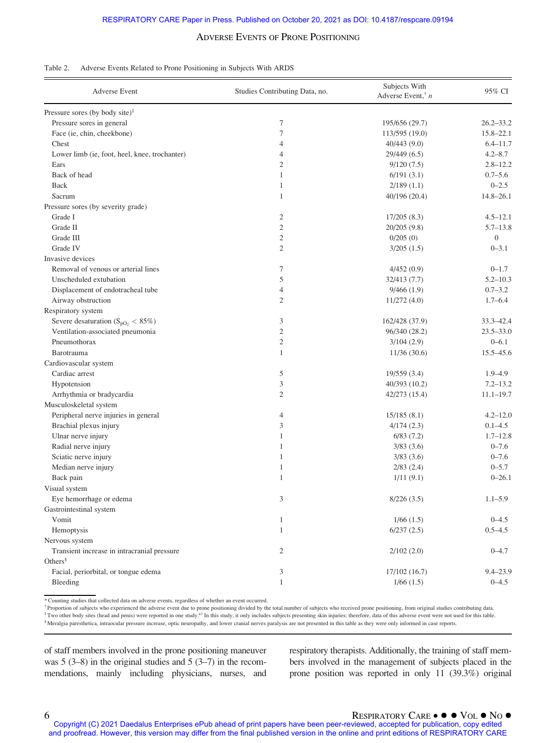| Table 2. | Adverse Events Related to Prone Positioning in Subjects With ARDS |  |  |  |
|----------|-------------------------------------------------------------------|--|--|--|
|          |                                                                   |  |  |  |

| <b>Adverse Event</b>                          | Studies Contributing Data, no. | Subjects With<br>Adverse Event, $n$ | 95% CI           |
|-----------------------------------------------|--------------------------------|-------------------------------------|------------------|
| Pressure sores (by body site) $\frac{1}{2}$   |                                |                                     |                  |
| Pressure sores in general                     | 7                              | 195/656 (29.7)                      | $26.2 - 33.2$    |
| Face (ie, chin, cheekbone)                    | $\tau$                         | 113/595 (19.0)                      | $15.8 - 22.1$    |
| Chest                                         | 4                              | 40/443 (9.0)                        | $6.4 - 11.7$     |
| Lower limb (ie, foot, heel, knee, trochanter) | $\overline{4}$                 | 29/449 (6.5)                        | $4.2 - 8.7$      |
| Ears                                          | $\mathfrak{2}$                 | 9/120(7.5)                          | $2.8 - 12.2$     |
| Back of head                                  | $\mathbf{1}$                   | 6/191(3.1)                          | $0.7 - 5.6$      |
| Back                                          | $\mathbf{1}$                   | 2/189(1.1)                          | $0 - 2.5$        |
| Sacrum                                        | $\mathbf{1}$                   | 40/196 (20.4)                       | $14.8 - 26.1$    |
| Pressure sores (by severity grade)            |                                |                                     |                  |
| Grade I                                       | $\mathfrak{2}$                 | 17/205(8.3)                         | $4.5 - 12.1$     |
| Grade II                                      | $\mathfrak{2}$                 | 20/205(9.8)                         | $5.7 - 13.8$     |
| Grade III                                     | $\mathfrak{2}$                 | 0/205(0)                            | $\boldsymbol{0}$ |
| Grade IV                                      | $\mathfrak{2}$                 | 3/205(1.5)                          | $0 - 3.1$        |
| Invasive devices                              |                                |                                     |                  |
| Removal of venous or arterial lines           | 7                              | 4/452(0.9)                          | $0 - 1.7$        |
| Unscheduled extubation                        | 5                              | 32/413 (7.7)                        | $5.2 - 10.3$     |
| Displacement of endotracheal tube             | $\overline{4}$                 | 9/466(1.9)                          | $0.7 - 3.2$      |
| Airway obstruction                            | $\overline{2}$                 | 11/272(4.0)                         | $1.7 - 6.4$      |
| Respiratory system                            |                                |                                     |                  |
| Severe desaturation ( $S_{pO_2} < 85\%$ )     | 3                              | 162/428 (37.9)                      | 33.3-42.4        |
| Ventilation-associated pneumonia              | $\mathfrak{2}$                 | 96/340 (28.2)                       | $23.5 - 33.0$    |
| Pneumothorax                                  | $\mathfrak{2}$                 | 3/104(2.9)                          | $0 - 6.1$        |
| Barotrauma                                    | $\mathbf{1}$                   | 11/36(30.6)                         | 15.5-45.6        |
| Cardiovascular system                         |                                |                                     |                  |
| Cardiac arrest                                | 5                              | 19/559 (3.4)                        | $1.9 - 4.9$      |
| Hypotension                                   | 3                              | 40/393 (10.2)                       | $7.2 - 13.2$     |
| Arrhythmia or bradycardia                     | $\mathfrak{2}$                 | 42/273 (15.4)                       | $11.1 - 19.7$    |
| Musculoskeletal system                        |                                |                                     |                  |
| Peripheral nerve injuries in general          | 4                              | 15/185(8.1)                         | $4.2 - 12.0$     |
| Brachial plexus injury                        | 3                              | 4/174(2.3)                          | $0.1 - 4.5$      |
| Ulnar nerve injury                            | $\mathbf{1}$                   | 6/83(7.2)                           | $1.7 - 12.8$     |
| Radial nerve injury                           | $\mathbf{1}$                   | 3/83(3.6)                           | $0 - 7.6$        |
| Sciatic nerve injury                          | $\mathbf{1}$                   | 3/83(3.6)                           | $0 - 7.6$        |
| Median nerve injury                           | $\mathbf{1}$                   | $2/83$ $(2.4)$                      | $0 - 5.7$        |
| Back pain                                     | $\mathbf{1}$                   | 1/11(9.1)                           | $0 - 26.1$       |
| Visual system                                 |                                |                                     |                  |
| Eye hemorrhage or edema                       | 3                              | 8/226(3.5)                          | $1.1 - 5.9$      |
| Gastrointestinal system                       |                                |                                     |                  |
| Vomit                                         | $\mathbf{1}$                   | 1/66(1.5)                           | $0 - 4.5$        |
| Hemoptysis                                    | $\mathbf{1}$                   | 6/237(2.5)                          | $0.5 - 4.5$      |
| Nervous system                                |                                |                                     |                  |
| Transient increase in intracranial pressure   | 2                              | 2/102(2.0)                          | $0 - 4.7$        |
| Others $\delta$                               |                                |                                     |                  |
| Facial, periorbital, or tongue edema          | 3                              | 17/102(16.7)                        | $9.4 - 23.9$     |
| Bleeding                                      | $\mathbf{1}$                   | $1/66$ (1.5)                        | $0 - 4.5$        |

\* Counting studies that collected data on adverse events, regardless of whether an event occurred.

<sup>†</sup> Proportion of subjects who experienced the adverse event due to prone positioning divided by the total number of subjects who received prone positioning, from original studies contributing data. ‡ Two other body sites (head and penis) were reported in one study.67 In this study, it only includes subjects presenting skin injuries; therefore, data of this adverse event were not used for this table.

§ Meralgia paresthetica, intraocular pressure increase, optic neuropathy, and lower cranial nerves paralysis are not presented in this table as they were only informed in case reports.

of staff members involved in the prone positioning maneuver was 5 (3–8) in the original studies and 5 (3–7) in the recommendations, mainly including physicians, nurses, and respiratory therapists. Additionally, the training of staff members involved in the management of subjects placed in the prone position was reported in only 11 (39.3%) original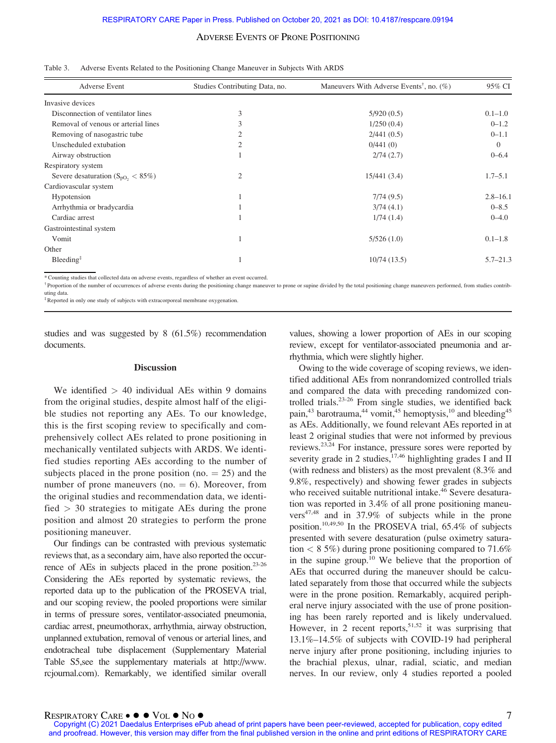| <b>Adverse Event</b>                    | Studies Contributing Data, no. | Maneuvers With Adverse Events <sup>†</sup> , no. $(\% )$ | 95% CI       |
|-----------------------------------------|--------------------------------|----------------------------------------------------------|--------------|
| Invasive devices                        |                                |                                                          |              |
| Disconnection of ventilator lines       | 3                              | 5/920(0.5)                                               | $0.1 - 1.0$  |
| Removal of venous or arterial lines     |                                | 1/250(0.4)                                               | $0 - 1.2$    |
| Removing of nasogastric tube            |                                | 2/441(0.5)                                               | $0 - 1.1$    |
| Unscheduled extubation                  | 2                              | 0/441(0)                                                 | $\Omega$     |
| Airway obstruction                      |                                | 2/74(2.7)                                                | $0 - 6.4$    |
| Respiratory system                      |                                |                                                          |              |
| Severe desaturation ( $S_{pQ_2}$ < 85%) | 2                              | 15/441(3.4)                                              | $1.7 - 5.1$  |
| Cardiovascular system                   |                                |                                                          |              |
| Hypotension                             |                                | 7/74(9.5)                                                | $2.8 - 16.1$ |
| Arrhythmia or bradycardia               |                                | 3/74(4.1)                                                | $0 - 8.5$    |
| Cardiac arrest                          |                                | 1/74(1.4)                                                | $0 - 4.0$    |
| Gastrointestinal system                 |                                |                                                          |              |
| Vomit                                   |                                | 5/526(1.0)                                               | $0.1 - 1.8$  |
| Other                                   |                                |                                                          |              |
| $B$ leeding <sup>#</sup>                |                                | 10/74(13.5)                                              | $5.7 - 21.3$ |

| Table 3. Adverse Events Related to the Positioning Change Maneuver in Subjects With ARDS |  |  |  |
|------------------------------------------------------------------------------------------|--|--|--|
|                                                                                          |  |  |  |

\* Counting studies that collected data on adverse events, regardless of whether an event occurred.

<sup>†</sup> Proportion of the number of occurrences of adverse events during the positioning change maneuver to prone or supine divided by the total positioning change maneuvers performed, from studies contributing data.

‡Reported in only one study of subjects with extracorporeal membrane oxygenation.

studies and was suggested by 8 (61.5%) recommendation documents.

#### **Discussion**

We identified  $> 40$  individual AEs within 9 domains from the original studies, despite almost half of the eligible studies not reporting any AEs. To our knowledge, this is the first scoping review to specifically and comprehensively collect AEs related to prone positioning in mechanically ventilated subjects with ARDS. We identified studies reporting AEs according to the number of subjects placed in the prone position (no.  $= 25$ ) and the number of prone maneuvers (no.  $= 6$ ). Moreover, from the original studies and recommendation data, we identified  $> 30$  strategies to mitigate AEs during the prone position and almost 20 strategies to perform the prone positioning maneuver.

Our findings can be contrasted with previous systematic reviews that, as a secondary aim, have also reported the occurrence of AEs in subjects placed in the prone position.<sup>23-26</sup> Considering the AEs reported by systematic reviews, the reported data up to the publication of the PROSEVA trial, and our scoping review, the pooled proportions were similar in terms of pressure sores, ventilator-associated pneumonia, cardiac arrest, pneumothorax, arrhythmia, airway obstruction, unplanned extubation, removal of venous or arterial lines, and endotracheal tube displacement (Supplementary Material Table S5,see the supplementary materials at [http://www.](http://www.rcjournal.com) [rcjournal.com](http://www.rcjournal.com)). Remarkably, we identified similar overall

values, showing a lower proportion of AEs in our scoping review, except for ventilator-associated pneumonia and arrhythmia, which were slightly higher.

Owing to the wide coverage of scoping reviews, we identified additional AEs from nonrandomized controlled trials and compared the data with preceding randomized controlled trials.23-26 From single studies, we identified back pain,<sup>43</sup> barotrauma,<sup>44</sup> vomit,<sup>45</sup> hemoptysis,<sup>10</sup> and bleeding<sup>45</sup> as AEs. Additionally, we found relevant AEs reported in at least 2 original studies that were not informed by previous reviews.23,24 For instance, pressure sores were reported by severity grade in 2 studies,  $17,46$  highlighting grades I and II (with redness and blisters) as the most prevalent (8.3% and 9.8%, respectively) and showing fewer grades in subjects who received suitable nutritional intake.<sup>46</sup> Severe desaturation was reported in 3.4% of all prone positioning maneuvers47,48 and in 37.9% of subjects while in the prone position.10,49,50 In the PROSEVA trial, 65.4% of subjects presented with severe desaturation (pulse oximetry saturation  $\langle 85\% \rangle$  during prone positioning compared to 71.6% in the supine group.<sup>10</sup> We believe that the proportion of AEs that occurred during the maneuver should be calculated separately from those that occurred while the subjects were in the prone position. Remarkably, acquired peripheral nerve injury associated with the use of prone positioning has been rarely reported and is likely undervalued. However, in 2 recent reports,  $51,52$  it was surprising that 13.1%–14.5% of subjects with COVID-19 had peripheral nerve injury after prone positioning, including injuries to the brachial plexus, ulnar, radial, sciatic, and median nerves. In our review, only 4 studies reported a pooled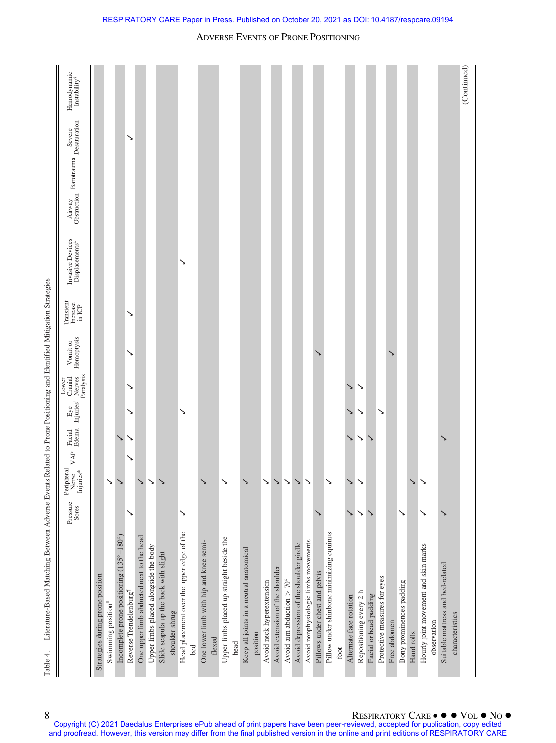| Hemodynamic<br>$\operatorname{Instability}^8$<br>Severe            |                                  |                   |                                          | ↘                                  |                                          |                                       |                                       |                |                                           |     |                                        |        |                                           |      |                                         |          |                           |                                 |                                    |                                         |                                      |                                |                                          |      |                         |                         |                        |                              |              |                          |              |                                      |             |                                   | (Continued)     |
|--------------------------------------------------------------------|----------------------------------|-------------------|------------------------------------------|------------------------------------|------------------------------------------|---------------------------------------|---------------------------------------|----------------|-------------------------------------------|-----|----------------------------------------|--------|-------------------------------------------|------|-----------------------------------------|----------|---------------------------|---------------------------------|------------------------------------|-----------------------------------------|--------------------------------------|--------------------------------|------------------------------------------|------|-------------------------|-------------------------|------------------------|------------------------------|--------------|--------------------------|--------------|--------------------------------------|-------------|-----------------------------------|-----------------|
| Airway Barotrauma Severe<br>Obstruction Barotrauma Desaturation    |                                  |                   |                                          |                                    |                                          |                                       |                                       |                |                                           |     |                                        |        |                                           |      |                                         |          |                           |                                 |                                    |                                         |                                      |                                |                                          |      |                         |                         |                        |                              |              |                          |              |                                      |             |                                   |                 |
|                                                                    |                                  |                   |                                          |                                    |                                          |                                       |                                       |                |                                           |     |                                        |        |                                           |      |                                         |          |                           |                                 |                                    |                                         |                                      |                                |                                          |      |                         |                         |                        |                              |              |                          |              |                                      |             |                                   |                 |
| Invasive Devices<br>Displacements <sup>#</sup>                     |                                  |                   |                                          |                                    |                                          |                                       |                                       |                | ↘                                         |     |                                        |        |                                           |      |                                         |          |                           |                                 |                                    |                                         |                                      |                                |                                          |      |                         |                         |                        |                              |              |                          |              |                                      |             |                                   |                 |
| Transient<br>Increase<br>in ICP                                    |                                  |                   |                                          | ↘                                  |                                          |                                       |                                       |                |                                           |     |                                        |        |                                           |      |                                         |          |                           |                                 |                                    |                                         |                                      |                                |                                          |      |                         |                         |                        |                              |              |                          |              |                                      |             |                                   |                 |
| Hemoptysis<br>Vomit or                                             |                                  |                   |                                          | ↘                                  |                                          |                                       |                                       |                |                                           |     |                                        |        |                                           |      |                                         |          |                           |                                 |                                    |                                         |                                      |                                |                                          |      |                         |                         |                        |                              |              |                          |              |                                      |             |                                   |                 |
| Lower<br>Bacial Eye Cranial<br>Edema Injuries' Nerves<br>Paralysis |                                  |                   |                                          | ↘                                  |                                          |                                       |                                       |                |                                           |     |                                        |        |                                           |      |                                         |          |                           |                                 |                                    |                                         |                                      |                                |                                          |      | ↘                       | ↘                       |                        |                              |              |                          |              |                                      |             |                                   |                 |
|                                                                    |                                  |                   |                                          | ↘                                  |                                          |                                       |                                       |                | ↘                                         |     |                                        |        |                                           |      |                                         |          |                           |                                 |                                    |                                         |                                      |                                |                                          |      | ゝ                       | ↘                       |                        | ↘                            |              |                          |              |                                      |             |                                   |                 |
|                                                                    |                                  |                   | ゝ                                        | ↘                                  |                                          |                                       |                                       |                |                                           |     |                                        |        |                                           |      |                                         |          |                           |                                 |                                    |                                         |                                      |                                |                                          |      | ゝ                       | ↘                       | ゝ                      |                              |              |                          |              |                                      |             | ゝ                                 |                 |
| VAP<br>Peripheral<br>Injuries*<br>Nerve                            |                                  | $\checkmark$      | $\checkmark$                             | ↘                                  | ↘                                        | ↘                                     | ゝ                                     |                |                                           |     | ゝ                                      |        | ゝ                                         |      |                                         |          | $\checkmark$              | $\checkmark$                    | $\checkmark$                       | $\checkmark$                            | ↘                                    |                                | ↘                                        |      | ↘                       | $\checkmark$            |                        |                              |              |                          | $\checkmark$ | ↘                                    |             |                                   |                 |
| Pressure<br>Sores                                                  |                                  |                   |                                          | ↘                                  |                                          |                                       |                                       |                | ↘                                         |     |                                        |        |                                           |      |                                         |          |                           |                                 |                                    |                                         |                                      |                                |                                          |      | ↘                       | $\checkmark$            | ↘                      |                              |              | ↘                        |              | ↘                                    |             | ↘                                 |                 |
|                                                                    | Strategies during prone position | Swimming position | Incomplete prone positioning (135°-180°) | Reverse Trendelenburg <sup>1</sup> | One upper limb abducted next to the head | Upper limbs placed alongside the body | Slide scapula up the back with slight | shoulder shrug | Head placement over the upper edge of the | bed | One lower limb with hip and knee semi- | flexed | Upper limbs placed up straight beside the | head | Keep all joints in a neutral anatomical | position | Avoid neck hyperextension | Avoid extension of the shoulder | Avoid arm abduction $> 70^{\circ}$ | Avoid depression of the shoulder girdle | Avoid nonphysiologic limbs movements | Pillows under chest and pelvis | Pillow under shinbone minimizing equinus | foot | Alternate face rotation | Repositioning every 2 h | Facial or head padding | Protective measures for eyes | Free abdomen | Bony prominences padding | Hand rolls   | Hourly joint movement and skin marks | observation | Suitable mattress and bed-related | characteristics |

Table 4. Literature-Based Matching Between Adverse Events Related to Prone Positioning and Identified Mitigation Strategies Table 4. Literature-Based Matching Between Adverse Events Related to Prone Positioning and Identified Mitigation Strategies

ADVERSE EVENTS OF PRONE POSITIONING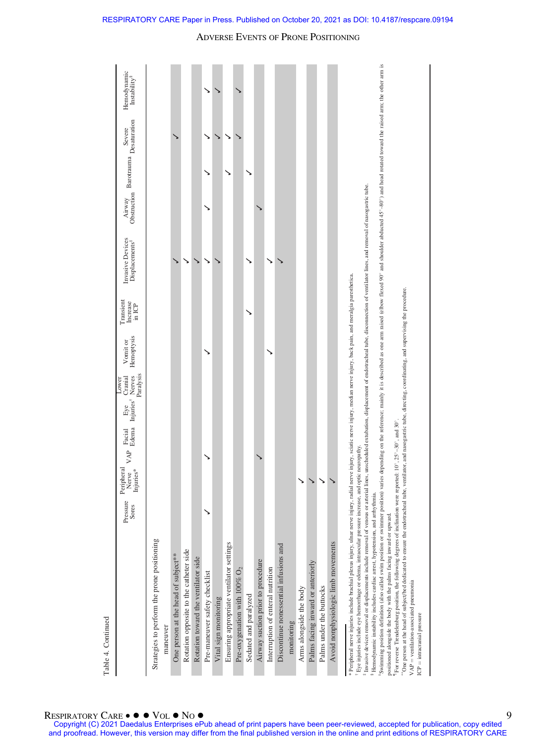|                                                                                                                                                                                                                                                                                                                                                                                                                                                                                                                                                                                                                                                                                                                                                                                                                                                                                                                                                                                                                                                                                                                                                                                                            | Pressure<br>Sores | Peripheral<br>Injuries*<br>Nerve | VAP | Facial<br>Edema | Paralysis<br>Injuries <sup>†</sup> Nerves<br>Cranial<br>Lower<br>Eye | Hemoptysis<br>Vomit or                                                                         | Transient<br>Increase<br>in ICP | Invasive Devices<br>Displacements <sup>#</sup> | Obstruction<br>Airway | Barotrauma<br>Desaturation | Severe | Hemodynamic<br>In stability <sup>8</sup> |
|------------------------------------------------------------------------------------------------------------------------------------------------------------------------------------------------------------------------------------------------------------------------------------------------------------------------------------------------------------------------------------------------------------------------------------------------------------------------------------------------------------------------------------------------------------------------------------------------------------------------------------------------------------------------------------------------------------------------------------------------------------------------------------------------------------------------------------------------------------------------------------------------------------------------------------------------------------------------------------------------------------------------------------------------------------------------------------------------------------------------------------------------------------------------------------------------------------|-------------------|----------------------------------|-----|-----------------|----------------------------------------------------------------------|------------------------------------------------------------------------------------------------|---------------------------------|------------------------------------------------|-----------------------|----------------------------|--------|------------------------------------------|
| Strategies to perform the prone positioning                                                                                                                                                                                                                                                                                                                                                                                                                                                                                                                                                                                                                                                                                                                                                                                                                                                                                                                                                                                                                                                                                                                                                                |                   |                                  |     |                 |                                                                      |                                                                                                |                                 |                                                |                       |                            |        |                                          |
| maneuver                                                                                                                                                                                                                                                                                                                                                                                                                                                                                                                                                                                                                                                                                                                                                                                                                                                                                                                                                                                                                                                                                                                                                                                                   |                   |                                  |     |                 |                                                                      |                                                                                                |                                 |                                                |                       |                            |        |                                          |
| One person at the head of subject**                                                                                                                                                                                                                                                                                                                                                                                                                                                                                                                                                                                                                                                                                                                                                                                                                                                                                                                                                                                                                                                                                                                                                                        |                   |                                  |     |                 |                                                                      |                                                                                                |                                 |                                                |                       |                            |        |                                          |
| Rotation opposite to the catheter side                                                                                                                                                                                                                                                                                                                                                                                                                                                                                                                                                                                                                                                                                                                                                                                                                                                                                                                                                                                                                                                                                                                                                                     |                   |                                  |     |                 |                                                                      |                                                                                                |                                 |                                                |                       |                            |        |                                          |
| Rotation toward the ventilator side                                                                                                                                                                                                                                                                                                                                                                                                                                                                                                                                                                                                                                                                                                                                                                                                                                                                                                                                                                                                                                                                                                                                                                        |                   |                                  |     |                 |                                                                      |                                                                                                |                                 |                                                |                       |                            |        |                                          |
| Pre-maneuver safety checklist                                                                                                                                                                                                                                                                                                                                                                                                                                                                                                                                                                                                                                                                                                                                                                                                                                                                                                                                                                                                                                                                                                                                                                              |                   |                                  |     |                 |                                                                      |                                                                                                |                                 |                                                |                       |                            | ↘      |                                          |
| Vital sign monitoring                                                                                                                                                                                                                                                                                                                                                                                                                                                                                                                                                                                                                                                                                                                                                                                                                                                                                                                                                                                                                                                                                                                                                                                      |                   |                                  |     |                 |                                                                      |                                                                                                |                                 |                                                |                       |                            | ゝ      |                                          |
| Ensuring appropriate ventilator settings                                                                                                                                                                                                                                                                                                                                                                                                                                                                                                                                                                                                                                                                                                                                                                                                                                                                                                                                                                                                                                                                                                                                                                   |                   |                                  |     |                 |                                                                      |                                                                                                |                                 |                                                |                       |                            |        |                                          |
| Pre-oxygenation with $100\%$ O <sub>2</sub>                                                                                                                                                                                                                                                                                                                                                                                                                                                                                                                                                                                                                                                                                                                                                                                                                                                                                                                                                                                                                                                                                                                                                                |                   |                                  |     |                 |                                                                      |                                                                                                |                                 |                                                |                       |                            |        |                                          |
| Sedated and paralyzed                                                                                                                                                                                                                                                                                                                                                                                                                                                                                                                                                                                                                                                                                                                                                                                                                                                                                                                                                                                                                                                                                                                                                                                      |                   |                                  |     |                 |                                                                      |                                                                                                |                                 |                                                |                       |                            |        |                                          |
| Airway suction prior to procedure                                                                                                                                                                                                                                                                                                                                                                                                                                                                                                                                                                                                                                                                                                                                                                                                                                                                                                                                                                                                                                                                                                                                                                          |                   |                                  |     |                 |                                                                      |                                                                                                |                                 |                                                |                       |                            |        |                                          |
| Interruption of enteral nutrition                                                                                                                                                                                                                                                                                                                                                                                                                                                                                                                                                                                                                                                                                                                                                                                                                                                                                                                                                                                                                                                                                                                                                                          |                   |                                  |     |                 |                                                                      |                                                                                                |                                 |                                                |                       |                            |        |                                          |
| Discontinue nonessential infusions and                                                                                                                                                                                                                                                                                                                                                                                                                                                                                                                                                                                                                                                                                                                                                                                                                                                                                                                                                                                                                                                                                                                                                                     |                   |                                  |     |                 |                                                                      |                                                                                                |                                 |                                                |                       |                            |        |                                          |
| monitoring                                                                                                                                                                                                                                                                                                                                                                                                                                                                                                                                                                                                                                                                                                                                                                                                                                                                                                                                                                                                                                                                                                                                                                                                 |                   |                                  |     |                 |                                                                      |                                                                                                |                                 |                                                |                       |                            |        |                                          |
| Arms alongside the body                                                                                                                                                                                                                                                                                                                                                                                                                                                                                                                                                                                                                                                                                                                                                                                                                                                                                                                                                                                                                                                                                                                                                                                    |                   | ↘                                |     |                 |                                                                      |                                                                                                |                                 |                                                |                       |                            |        |                                          |
| Palms facing inward or anteriorly                                                                                                                                                                                                                                                                                                                                                                                                                                                                                                                                                                                                                                                                                                                                                                                                                                                                                                                                                                                                                                                                                                                                                                          |                   | ↘                                |     |                 |                                                                      |                                                                                                |                                 |                                                |                       |                            |        |                                          |
| Palms under the buttocks                                                                                                                                                                                                                                                                                                                                                                                                                                                                                                                                                                                                                                                                                                                                                                                                                                                                                                                                                                                                                                                                                                                                                                                   |                   |                                  |     |                 |                                                                      |                                                                                                |                                 |                                                |                       |                            |        |                                          |
| Avoid nonphysiologic limb movements                                                                                                                                                                                                                                                                                                                                                                                                                                                                                                                                                                                                                                                                                                                                                                                                                                                                                                                                                                                                                                                                                                                                                                        |                   |                                  |     |                 |                                                                      |                                                                                                |                                 |                                                |                       |                            |        |                                          |
| Swimming position definition (also called swim position or swimmer position) varies depending on the reference; mainly it is described as one arm naised (elbow flexed 00° and abouted abducted 45°-80°) and head rotated towa<br>Invasive devices removal or displacements include removal of venous or arterial lines, unscheduled extubation, displacement of endotracheal tube, disconnection of ventilator lines, and removal of nasogastric tube.<br>"One person at the head of subject/bed dedicated to ensure the endotracheal tube, ventilator, and nasogastric tube, directing, coordinating, and supervising the procedure.<br>For reverse Trendelenburg position, the following degrees of inclination were reported: 10°, 25°-30°, and 30°.<br>Eye injuries include eye hemorrhage or edema, intraocular pressure increase, and optic neuropathy.<br>* Peripheral nerve injuries include brachial plexus injury, ulnar nerve injury, radial<br><sup>§</sup> Hemodynamic instability includes cardiac arrest, hypotension, and arrhythmia.<br>positioned alongside the body with the palms facing inward or upward.<br>VAP = ventilation-associated pneumonia<br>$ICP =$ intracranial pressure |                   |                                  |     |                 |                                                                      | nerve injury, sciatic nerve injury, median nerve injury, back pain, and meralgia paresthetica. |                                 |                                                |                       |                            |        |                                          |

RESPIRATORY CARE Paper in Press. Published on October 20, 2021 as DOI: 10.4187/respcare.09194

Table 4. Continued

Table 4. Continued

9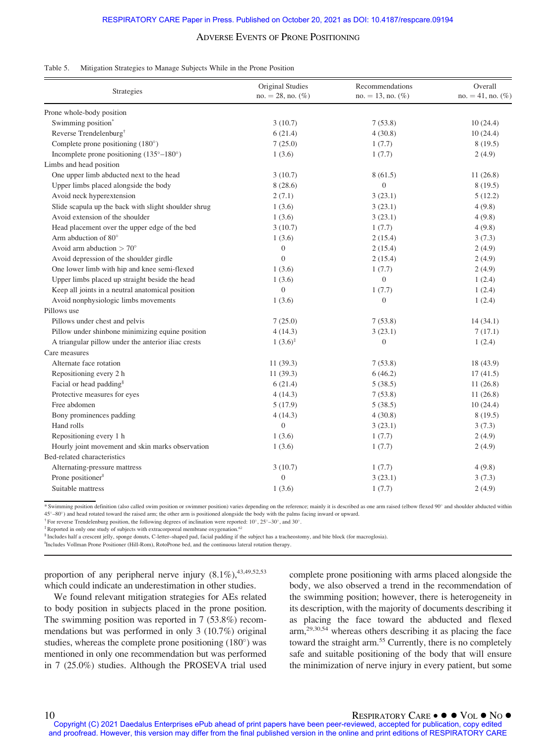| Table 5. | Mitigation Strategies to Manage Subjects While in the Prone Position |  |  |  |
|----------|----------------------------------------------------------------------|--|--|--|
|          |                                                                      |  |  |  |

| Strategies                                           | Original Studies<br>$no. = 28$ , no. $(\%)$ | Recommendations<br>$no. = 13$ , no. $(\%)$ | Overall<br>$no. = 41, no.$ (%) |
|------------------------------------------------------|---------------------------------------------|--------------------------------------------|--------------------------------|
| Prone whole-body position                            |                                             |                                            |                                |
| Swimming position <sup>*</sup>                       | 3(10.7)                                     | 7(53.8)                                    | 10(24.4)                       |
| Reverse Trendelenburg <sup>†</sup>                   | 6(21.4)                                     | 4(30.8)                                    | 10(24.4)                       |
| Complete prone positioning $(180^\circ)$             | 7(25.0)                                     | 1(7.7)                                     | 8(19.5)                        |
| Incomplete prone positioning (135°-180°)             | 1(3.6)                                      | 1(7.7)                                     | 2(4.9)                         |
| Limbs and head position                              |                                             |                                            |                                |
| One upper limb abducted next to the head             | 3(10.7)                                     | 8(61.5)                                    | 11(26.8)                       |
| Upper limbs placed alongside the body                | 8(28.6)                                     | $\overline{0}$                             | 8(19.5)                        |
| Avoid neck hyperextension                            | 2(7.1)                                      | 3(23.1)                                    | 5(12.2)                        |
| Slide scapula up the back with slight shoulder shrug | 1(3.6)                                      | 3(23.1)                                    | 4(9.8)                         |
| Avoid extension of the shoulder                      | 1(3.6)                                      | 3(23.1)                                    | 4(9.8)                         |
| Head placement over the upper edge of the bed        | 3(10.7)                                     | 1(7.7)                                     | 4(9.8)                         |
| Arm abduction of 80°                                 | 1(3.6)                                      | 2(15.4)                                    | 3(7.3)                         |
| Avoid arm abduction $> 70^\circ$                     | $\boldsymbol{0}$                            | 2(15.4)                                    | 2(4.9)                         |
| Avoid depression of the shoulder girdle              | $\mathbf{0}$                                | 2(15.4)                                    | 2(4.9)                         |
| One lower limb with hip and knee semi-flexed         | 1(3.6)                                      | 1(7.7)                                     | 2(4.9)                         |
| Upper limbs placed up straight beside the head       | 1(3.6)                                      | $\mathbf{0}$                               | 1(2.4)                         |
| Keep all joints in a neutral anatomical position     | $\boldsymbol{0}$                            | 1(7.7)                                     | 1(2.4)                         |
| Avoid nonphysiologic limbs movements                 | 1(3.6)                                      | $\boldsymbol{0}$                           | 1(2.4)                         |
| Pillows use                                          |                                             |                                            |                                |
| Pillows under chest and pelvis                       | 7(25.0)                                     | 7(53.8)                                    | 14(34.1)                       |
| Pillow under shinbone minimizing equine position     | 4(14.3)                                     | 3(23.1)                                    | 7(17.1)                        |
| A triangular pillow under the anterior iliac crests  | $1(3.6)^{\ddagger}$                         | $\boldsymbol{0}$                           | 1(2.4)                         |
| Care measures                                        |                                             |                                            |                                |
| Alternate face rotation                              | 11(39.3)                                    | 7(53.8)                                    | 18 (43.9)                      |
| Repositioning every 2 h                              | 11(39.3)                                    | 6(46.2)                                    | 17(41.5)                       |
| Facial or head padding <sup>§</sup>                  | 6(21.4)                                     | 5(38.5)                                    | 11(26.8)                       |
| Protective measures for eyes                         | 4(14.3)                                     | 7(53.8)                                    | 11(26.8)                       |
| Free abdomen                                         | 5(17.9)                                     | 5(38.5)                                    | 10(24.4)                       |
| Bony prominences padding                             | 4(14.3)                                     | 4(30.8)                                    | 8(19.5)                        |
| Hand rolls                                           | $\boldsymbol{0}$                            | 3(23.1)                                    | 3(7.3)                         |
| Repositioning every 1 h                              | 1(3.6)                                      | 1(7.7)                                     | 2(4.9)                         |
| Hourly joint movement and skin marks observation     | 1(3.6)                                      | 1(7.7)                                     | 2(4.9)                         |
| Bed-related characteristics                          |                                             |                                            |                                |
| Alternating-pressure mattress                        | 3(10.7)                                     | 1(7.7)                                     | 4(9.8)                         |
| Prone positioner <sup>"</sup>                        | $\overline{0}$                              | 3(23.1)                                    | 3(7.3)                         |
| Suitable mattress                                    | 1(3.6)                                      | 1(7.7)                                     | 2(4.9)                         |

\* Swimming position definition (also called swim position or swimmer position) varies depending on the reference; mainly it is described as one arm raised (elbow flexed 90° and shoulder abducted within 45–80) and head rotated toward the raised arm; the other arm is positioned alongside the body with the palms facing inward or upward.

 $\dagger$  For reverse Trendelenburg position, the following degrees of inclination were reported: 10°, 25°–30°, and 30°.

<sup>‡</sup>Reported in only one study of subjects with extracorporeal membrane oxygenation.<sup>6</sup>

§ Includes half a crescent jelly, sponge donuts, C-letter–shaped pad, facial padding if the subject has a tracheostomy, and bite block (for macroglosia).

||Includes Vollman Prone Positioner (Hill-Rom), RotoProne bed, and the continuous lateral rotation therapy.

proportion of any peripheral nerve injury  $(8.1\%)$ ,  $^{43,49,52,53}$ which could indicate an underestimation in other studies.

We found relevant mitigation strategies for AEs related to body position in subjects placed in the prone position. The swimming position was reported in 7 (53.8%) recommendations but was performed in only 3 (10.7%) original studies, whereas the complete prone positioning  $(180^{\circ})$  was mentioned in only one recommendation but was performed in 7 (25.0%) studies. Although the PROSEVA trial used complete prone positioning with arms placed alongside the body, we also observed a trend in the recommendation of the swimming position; however, there is heterogeneity in its description, with the majority of documents describing it as placing the face toward the abducted and flexed arm,29,30,54 whereas others describing it as placing the face toward the straight arm.<sup>55</sup> Currently, there is no completely safe and suitable positioning of the body that will ensure the minimization of nerve injury in every patient, but some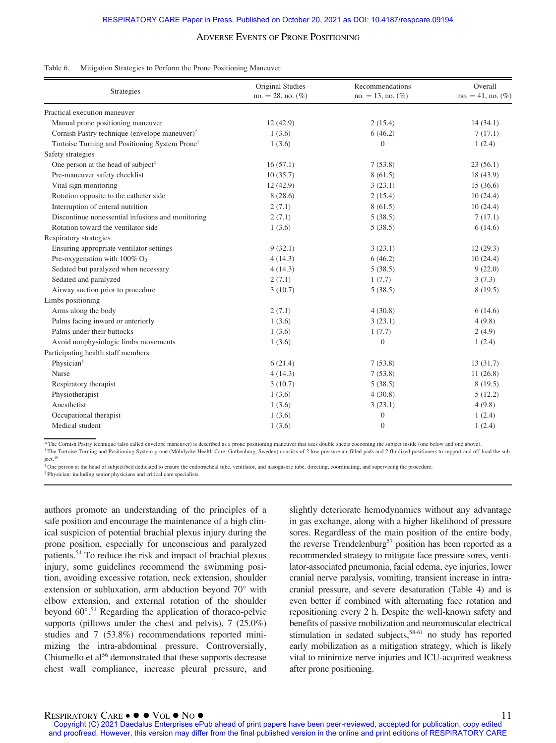#### Table 6. Mitigation Strategies to Perform the Prone Positioning Maneuver

| <b>Strategies</b>                                          | Original Studies<br>$no. = 28$ , no. $(\%)$ | Recommendations<br>$no. = 13$ , no. $(\%)$ | Overall<br>$no. = 41$ , no. $(\%)$ |
|------------------------------------------------------------|---------------------------------------------|--------------------------------------------|------------------------------------|
| Practical execution maneuver                               |                                             |                                            |                                    |
| Manual prone positioning maneuver                          | 12(42.9)                                    | 2(15.4)                                    | 14(34.1)                           |
| Cornish Pastry technique (envelope maneuver)*              | 1(3.6)                                      | 6(46.2)                                    | 7(17.1)                            |
| Tortoise Turning and Positioning System Prone <sup>†</sup> | 1(3.6)                                      | $\mathbf{0}$                               | 1(2.4)                             |
| Safety strategies                                          |                                             |                                            |                                    |
| One person at the head of subject <sup>‡</sup>             | 16(57.1)                                    | 7(53.8)                                    | 23(56.1)                           |
| Pre-maneuver safety checklist                              | 10(35.7)                                    | 8(61.5)                                    | 18 (43.9)                          |
| Vital sign monitoring                                      | 12(42.9)                                    | 3(23.1)                                    | 15(36.6)                           |
| Rotation opposite to the catheter side                     | 8(28.6)                                     | 2(15.4)                                    | 10(24.4)                           |
| Interruption of enteral nutrition                          | 2(7.1)                                      | 8(61.5)                                    | 10(24.4)                           |
| Discontinue nonessential infusions and monitoring          | 2(7.1)                                      | 5(38.5)                                    | 7(17.1)                            |
| Rotation toward the ventilator side                        | 1(3.6)                                      | 5(38.5)                                    | 6(14.6)                            |
| Respiratory strategies                                     |                                             |                                            |                                    |
| Ensuring appropriate ventilator settings                   | 9(32.1)                                     | 3(23.1)                                    | 12(29.3)                           |
| Pre-oxygenation with $100\%$ O <sub>2</sub>                | 4(14.3)                                     | 6(46.2)                                    | 10(24.4)                           |
| Sedated but paralyzed when necessary                       | 4(14.3)                                     | 5(38.5)                                    | 9(22.0)                            |
| Sedated and paralyzed                                      | 2(7.1)                                      | 1(7.7)                                     | 3(7.3)                             |
| Airway suction prior to procedure                          | 3(10.7)                                     | 5(38.5)                                    | 8(19.5)                            |
| Limbs positioning                                          |                                             |                                            |                                    |
| Arms along the body                                        | 2(7.1)                                      | 4(30.8)                                    | 6(14.6)                            |
| Palms facing inward or anteriorly                          | 1(3.6)                                      | 3(23.1)                                    | 4(9.8)                             |
| Palms under their buttocks                                 | 1(3.6)                                      | 1(7.7)                                     | 2(4.9)                             |
| Avoid nonphysiologic limbs movements                       | 1(3.6)                                      | $\boldsymbol{0}$                           | 1(2.4)                             |
| Participating health staff members                         |                                             |                                            |                                    |
| Physician <sup>§</sup>                                     | 6(21.4)                                     | 7(53.8)                                    | 13(31.7)                           |
| Nurse                                                      | 4(14.3)                                     | 7(53.8)                                    | 11(26.8)                           |
| Respiratory therapist                                      | 3(10.7)                                     | 5(38.5)                                    | 8(19.5)                            |
| Physiotherapist                                            | 1(3.6)                                      | 4(30.8)                                    | 5(12.2)                            |
| Anesthetist                                                | 1(3.6)                                      | 3(23.1)                                    | 4(9.8)                             |
| Occupational therapist                                     | 1(3.6)                                      | $\boldsymbol{0}$                           | 1(2.4)                             |
| Medical student                                            | 1(3.6)                                      | $\mathbf{0}$                               | 1(2.4)                             |

\* The Cornish Pastry technique (also called envelope maneuver) is described as a prone positioning maneuver that uses double sheets cocooning the subject inside (one below and one above).

† The Tortoise Turning and Positioning System prone (M€olnlycke Health Care, Gothenburg, Sweden) consists of 2 low-pressure air-filled pads and 2 fluidized positioners to support and off-load the subject.<sup>49</sup>

The person at the head of subject/bed dedicated to ensure the endotracheal tube, ventilator, and nasogastric tube, directing, coordinating, and supervising the procedure.

§ Physician: including senior physicians and critical care specialists.

authors promote an understanding of the principles of a safe position and encourage the maintenance of a high clinical suspicion of potential brachial plexus injury during the prone position, especially for unconscious and paralyzed patients.54 To reduce the risk and impact of brachial plexus injury, some guidelines recommend the swimming position, avoiding excessive rotation, neck extension, shoulder extension or subluxation, arm abduction beyond  $70^{\circ}$  with elbow extension, and external rotation of the shoulder beyond 60°.<sup>54</sup> Regarding the application of thoraco-pelvic supports (pillows under the chest and pelvis), 7 (25.0%) studies and 7 (53.8%) recommendations reported minimizing the intra-abdominal pressure. Controversially, Chiumello et al<sup>56</sup> demonstrated that these supports decrease chest wall compliance, increase pleural pressure, and slightly deteriorate hemodynamics without any advantage in gas exchange, along with a higher likelihood of pressure sores. Regardless of the main position of the entire body, the reverse Trendelenburg<sup>57</sup> position has been reported as a recommended strategy to mitigate face pressure sores, ventilator-associated pneumonia, facial edema, eye injuries, lower cranial nerve paralysis, vomiting, transient increase in intracranial pressure, and severe desaturation (Table 4) and is even better if combined with alternating face rotation and repositioning every 2 h. Despite the well-known safety and benefits of passive mobilization and neuromuscular electrical stimulation in sedated subjects,<sup>58-61</sup> no study has reported early mobilization as a mitigation strategy, which is likely vital to minimize nerve injuries and ICU-acquired weakness after prone positioning.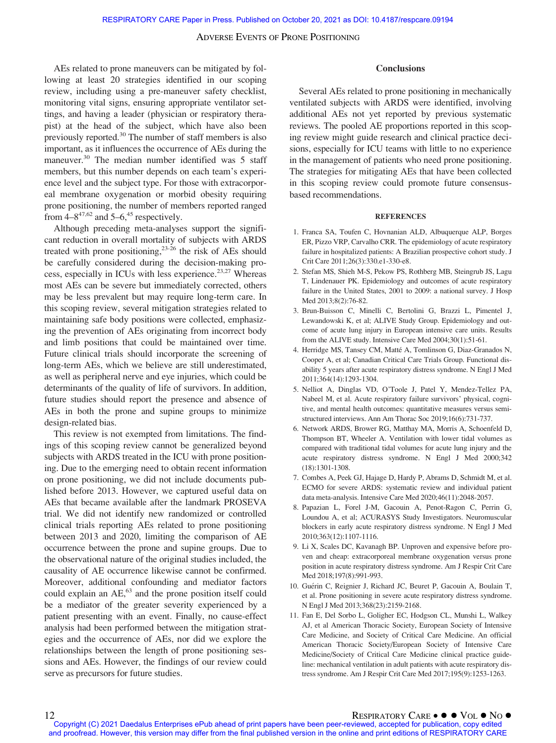AEs related to prone maneuvers can be mitigated by following at least 20 strategies identified in our scoping review, including using a pre-maneuver safety checklist, monitoring vital signs, ensuring appropriate ventilator settings, and having a leader (physician or respiratory therapist) at the head of the subject, which have also been previously reported.<sup>30</sup> The number of staff members is also important, as it influences the occurrence of AEs during the maneuver.<sup>30</sup> The median number identified was 5 staff members, but this number depends on each team's experience level and the subject type. For those with extracorporeal membrane oxygenation or morbid obesity requiring prone positioning, the number of members reported ranged from  $4-8^{47,62}$  and  $5-6,45$  respectively.

Although preceding meta-analyses support the significant reduction in overall mortality of subjects with ARDS treated with prone positioning, $2^{3-26}$  the risk of AEs should be carefully considered during the decision-making process, especially in ICUs with less experience.<sup>23,27</sup> Whereas most AEs can be severe but immediately corrected, others may be less prevalent but may require long-term care. In this scoping review, several mitigation strategies related to maintaining safe body positions were collected, emphasizing the prevention of AEs originating from incorrect body and limb positions that could be maintained over time. Future clinical trials should incorporate the screening of long-term AEs, which we believe are still underestimated, as well as peripheral nerve and eye injuries, which could be determinants of the quality of life of survivors. In addition, future studies should report the presence and absence of AEs in both the prone and supine groups to minimize design-related bias.

This review is not exempted from limitations. The findings of this scoping review cannot be generalized beyond subjects with ARDS treated in the ICU with prone positioning. Due to the emerging need to obtain recent information on prone positioning, we did not include documents published before 2013. However, we captured useful data on AEs that became available after the landmark PROSEVA trial. We did not identify new randomized or controlled clinical trials reporting AEs related to prone positioning between 2013 and 2020, limiting the comparison of AE occurrence between the prone and supine groups. Due to the observational nature of the original studies included, the causality of AE occurrence likewise cannot be confirmed. Moreover, additional confounding and mediator factors could explain an AE,<sup>63</sup> and the prone position itself could be a mediator of the greater severity experienced by a patient presenting with an event. Finally, no cause-effect analysis had been performed between the mitigation strategies and the occurrence of AEs, nor did we explore the relationships between the length of prone positioning sessions and AEs. However, the findings of our review could serve as precursors for future studies.

#### Conclusions

Several AEs related to prone positioning in mechanically ventilated subjects with ARDS were identified, involving additional AEs not yet reported by previous systematic reviews. The pooled AE proportions reported in this scoping review might guide research and clinical practice decisions, especially for ICU teams with little to no experience in the management of patients who need prone positioning. The strategies for mitigating AEs that have been collected in this scoping review could promote future consensusbased recommendations.

#### **REFERENCES**

- 1. Franca SA, Toufen C, Hovnanian ALD, Albuquerque ALP, Borges ER, Pizzo VRP, Carvalho CRR. The epidemiology of acute respiratory failure in hospitalized patients: A Brazilian prospective cohort study. J Crit Care 2011;26(3):330.e1-330-e8.
- 2. Stefan MS, Shieh M-S, Pekow PS, Rothberg MB, Steingrub JS, Lagu T, Lindenauer PK. Epidemiology and outcomes of acute respiratory failure in the United States, 2001 to 2009: a national survey. J Hosp Med 2013;8(2):76-82.
- 3. Brun-Buisson C, Minelli C, Bertolini G, Brazzi L, Pimentel J, Lewandowski K, et al; ALIVE Study Group. Epidemiology and outcome of acute lung injury in European intensive care units. Results from the ALIVE study. Intensive Care Med 2004;30(1):51-61.
- 4. Herridge MS, Tansey CM, Matté A, Tomlinson G, Diaz-Granados N, Cooper A, et al; Canadian Critical Care Trials Group. Functional disability 5 years after acute respiratory distress syndrome. N Engl J Med 2011;364(14):1293-1304.
- 5. Nelliot A, Dinglas VD, O'Toole J, Patel Y, Mendez-Tellez PA, Nabeel M, et al. Acute respiratory failure survivors' physical, cognitive, and mental health outcomes: quantitative measures versus semistructured interviews. Ann Am Thorac Soc 2019;16(6):731-737.
- 6. Network ARDS, Brower RG, Matthay MA, Morris A, Schoenfeld D, Thompson BT, Wheeler A. Ventilation with lower tidal volumes as compared with traditional tidal volumes for acute lung injury and the acute respiratory distress syndrome. N Engl J Med 2000;342 (18):1301-1308.
- 7. Combes A, Peek GJ, Hajage D, Hardy P, Abrams D, Schmidt M, et al. ECMO for severe ARDS: systematic review and individual patient data meta-analysis. Intensive Care Med 2020;46(11):2048-2057.
- 8. Papazian L, Forel J-M, Gacouin A, Penot-Ragon C, Perrin G, Loundou A, et al; ACURASYS Study Investigators. Neuromuscular blockers in early acute respiratory distress syndrome. N Engl J Med 2010;363(12):1107-1116.
- 9. Li X, Scales DC, Kavanagh BP. Unproven and expensive before proven and cheap: extracorporeal membrane oxygenation versus prone position in acute respiratory distress syndrome. Am J Respir Crit Care Med 2018;197(8):991-993.
- 10. Guérin C, Reignier J, Richard JC, Beuret P, Gacouin A, Boulain T, et al. Prone positioning in severe acute respiratory distress syndrome. N Engl J Med 2013;368(23):2159-2168.
- 11. Fan E, Del Sorbo L, Goligher EC, Hodgson CL, Munshi L, Walkey AJ, et al American Thoracic Society, European Society of Intensive Care Medicine, and Society of Critical Care Medicine. An official American Thoracic Society/European Society of Intensive Care Medicine/Society of Critical Care Medicine clinical practice guideline: mechanical ventilation in adult patients with acute respiratory distress syndrome. Am J Respir Crit Care Med 2017;195(9):1253-1263.

<sup>12</sup> RESPIRATORY CARE ● ● VOL ● No ●<br>Copyright (C) 2021 Daedalus Enterprises ePub ahead of print papers have been peer-reviewed, accepted for publication, copy edited and proofread. However, this version may differ from the final published version in the online and print editions of RESPIRATORY CARE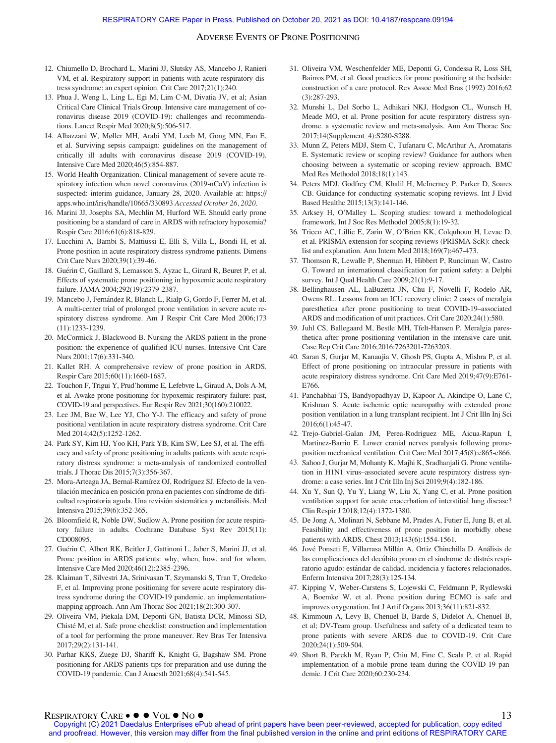- 12. Chiumello D, Brochard L, Marini JJ, Slutsky AS, Mancebo J, Ranieri VM, et al. Respiratory support in patients with acute respiratory distress syndrome: an expert opinion. Crit Care 2017;21(1):240.
- 13. Phua J, Weng L, Ling L, Egi M, Lim C-M, Divatia JV, et al; Asian Critical Care Clinical Trials Group. Intensive care management of coronavirus disease 2019 (COVID-19): challenges and recommendations. Lancet Respir Med 2020;8(5):506-517.
- 14. Alhazzani W, Møller MH, Arabi YM, Loeb M, Gong MN, Fan E, et al. Surviving sepsis campaign: guidelines on the management of critically ill adults with coronavirus disease 2019 (COVID-19). Intensive Care Med 2020;46(5):854-887.
- 15. World Health Organization. Clinical management of severe acute respiratory infection when novel coronavirus (2019-nCoV) infection is suspected: interim guidance, January 28, 2020. Available at: [https://](https://apps.who.int/iris/handle/10665/330893) [apps.who.int/iris/handle/10665/330893](https://apps.who.int/iris/handle/10665/330893) Accessed October 26, 2020.
- 16. Marini JJ, Josephs SA, Mechlin M, Hurford WE. Should early prone positioning be a standard of care in ARDS with refractory hypoxemia? Respir Care 2016;61(6):818-829.
- 17. Lucchini A, Bambi S, Mattiussi E, Elli S, Villa L, Bondi H, et al. Prone position in acute respiratory distress syndrome patients. Dimens Crit Care Nurs 2020;39(1):39-46.
- 18. Guérin C, Gaillard S, Lemasson S, Ayzac L, Girard R, Beuret P, et al. Effects of systematic prone positioning in hypoxemic acute respiratory failure. JAMA 2004;292(19):2379-2387.
- 19. Mancebo J, Fernández R, Blanch L, Rialp G, Gordo F, Ferrer M, et al. A multi-center trial of prolonged prone ventilation in severe acute respiratory distress syndrome. Am J Respir Crit Care Med 2006;173 (11):1233-1239.
- 20. McCormick J, Blackwood B. Nursing the ARDS patient in the prone position: the experience of qualified ICU nurses. Intensive Crit Care Nurs 2001;17(6):331-340.
- 21. Kallet RH. A comprehensive review of prone position in ARDS. Respir Care 2015;60(11):1660-1687.
- 22. Touchon F, Trigui Y, Prud'homme E, Lefebvre L, Giraud A, Dols A-M, et al. Awake prone positioning for hypoxemic respiratory failure: past, COVID-19 and perspectives. Eur Respir Rev 2021;30(160):210022.
- 23. Lee JM, Bae W, Lee YJ, Cho Y-J. The efficacy and safety of prone positional ventilation in acute respiratory distress syndrome. Crit Care Med 2014;42(5):1252-1262.
- 24. Park SY, Kim HJ, Yoo KH, Park YB, Kim SW, Lee SJ, et al. The efficacy and safety of prone positioning in adults patients with acute respiratory distress syndrome: a meta-analysis of randomized controlled trials. J Thorac Dis 2015;7(3):356-367.
- 25. Mora-Arteaga JA, Bernal-Ramírez OJ, Rodríguez SJ. Efecto de la ventilación mecánica en posición prona en pacientes con síndrome de dificultad respiratoria aguda. Una revisión sistemática y metanálisis. Med Intensiva 2015;39(6):352-365.
- 26. Bloomfield R, Noble DW, Sudlow A. Prone position for acute respiratory failure in adults. Cochrane Database Syst Rev 2015(11): CD008095.
- 27. Guérin C, Albert RK, Beitler J, Gattinoni L, Jaber S, Marini JJ, et al. Prone position in ARDS patients: why, when, how, and for whom. Intensive Care Med 2020;46(12):2385-2396.
- 28. Klaiman T, Silvestri JA, Srinivasan T, Szymanski S, Tran T, Oredeko F, et al. Improving prone positioning for severe acute respiratory distress syndrome during the COVID-19 pandemic. an implementationmapping approach. Ann Am Thorac Soc 2021;18(2):300-307.
- 29. Oliveira VM, Piekala DM, Deponti GN, Batista DCR, Minossi SD, Chisté M, et al. Safe prone checklist: construction and implementation of a tool for performing the prone maneuver. Rev Bras Ter Intensiva 2017;29(2):131-141.
- 30. Parhar KKS, Zuege DJ, Shariff K, Knight G, Bagshaw SM. Prone positioning for ARDS patients-tips for preparation and use during the COVID-19 pandemic. Can J Anaesth 2021;68(4):541-545.
- 31. Oliveira VM, Weschenfelder ME, Deponti G, Condessa R, Loss SH, Bairros PM, et al. Good practices for prone positioning at the bedside: construction of a care protocol. Rev Assoc Med Bras (1992) 2016;62 (3):287-293.
- 32. Munshi L, Del Sorbo L, Adhikari NKJ, Hodgson CL, Wunsch H, Meade MO, et al. Prone position for acute respiratory distress syndrome. a systematic review and meta-analysis. Ann Am Thorac Soc 2017;14(Supplement\_4):S280-S288.
- 33. Munn Z, Peters MDJ, Stern C, Tufanaru C, McArthur A, Aromataris E. Systematic review or scoping review? Guidance for authors when choosing between a systematic or scoping review approach. BMC Med Res Methodol 2018;18(1):143.
- 34. Peters MDJ, Godfrey CM, Khalil H, McInerney P, Parker D, Soares CB. Guidance for conducting systematic scoping reviews. Int J Evid Based Healthc 2015;13(3):141-146.
- 35. Arksey H, O'Malley L. Scoping studies: toward a methodological framework. Int J Soc Res Methodol 2005;8(1):19-32.
- 36. Tricco AC, Lillie E, Zarin W, O'Brien KK, Colquhoun H, Levac D, et al. PRISMA extension for scoping reviews (PRISMA-ScR): checklist and explanation. Ann Intern Med 2018;169(7):467-473.
- 37. Thomson R, Lewalle P, Sherman H, Hibbert P, Runciman W, Castro G. Toward an international classification for patient safety: a Delphi survey. Int J Qual Health Care 2009;21(1):9-17.
- 38. Bellinghausen AL, LaBuzetta JN, Chu F, Novelli F, Rodelo AR, Owens RL. Lessons from an ICU recovery clinic: 2 cases of meralgia paresthetica after prone positioning to treat COVID-19–associated ARDS and modification of unit practices. Crit Care 2020;24(1):580.
- 39. Juhl CS, Ballegaard M, Bestle MH, Tfelt-Hansen P. Meralgia paresthetica after prone positioning ventilation in the intensive care unit. Case Rep Crit Care 2016;2016:7263201-7263203.
- 40. Saran S, Gurjar M, Kanaujia V, Ghosh PS, Gupta A, Mishra P, et al. Effect of prone positioning on intraocular pressure in patients with acute respiratory distress syndrome. Crit Care Med 2019;47(9):E761- E766.
- 41. Panchabhai TS, Bandyopadhyay D, Kapoor A, Akindipe O, Lane C, Krishnan S. Acute ischemic optic neuropathy with extended prone position ventilation in a lung transplant recipient. Int J Crit Illn Inj Sci 2016;6(1):45-47.
- 42. Trejo-Gabriel-Galan JM, Perea-Rodriguez ME, Aicua-Rapun I, Martinez-Barrio E. Lower cranial nerves paralysis following proneposition mechanical ventilation. Crit Care Med 2017;45(8):e865-e866.
- 43. Sahoo J, Gurjar M, Mohanty K, Majhi K, Sradhanjali G. Prone ventilation in H1N1 virus–associated severe acute respiratory distress syndrome: a case series. Int J Crit Illn Inj Sci 2019;9(4):182-186.
- 44. Xu Y, Sun Q, Yu Y, Liang W, Liu X, Yang C, et al. Prone position ventilation support for acute exacerbation of interstitial lung disease? Clin Respir J 2018;12(4):1372-1380.
- 45. De Jong A, Molinari N, Sebbane M, Prades A, Futier E, Jung B, et al. Feasibility and effectiveness of prone position in morbidly obese patients with ARDS. Chest 2013;143(6):1554-1561.
- 46. Jové Ponseti E, Villarrasa Millán A, Ortiz Chinchilla D. Análisis de las complicaciones del decúbito prono en el síndrome de distrés respiratorio agudo: estándar de calidad, incidencia y factores relacionados. Enferm Intensiva 2017;28(3):125-134.
- 47. Kipping V, Weber-Carstens S, Lojewski C, Feldmann P, Rydlewski A, Boemke W, et al. Prone position during ECMO is safe and improves oxygenation. Int J Artif Organs 2013;36(11):821-832.
- 48. Kimmoun A, Levy B, Chenuel B, Barde S, Didelot A, Chenuel B, et al; DV-Team group. Usefulness and safety of a dedicated team to prone patients with severe ARDS due to COVID-19. Crit Care 2020;24(1):509-504.
- 49. Short B, Parekh M, Ryan P, Chiu M, Fine C, Scala P, et al. Rapid implementation of a mobile prone team during the COVID-19 pandemic. J Crit Care 2020;60:230-234.